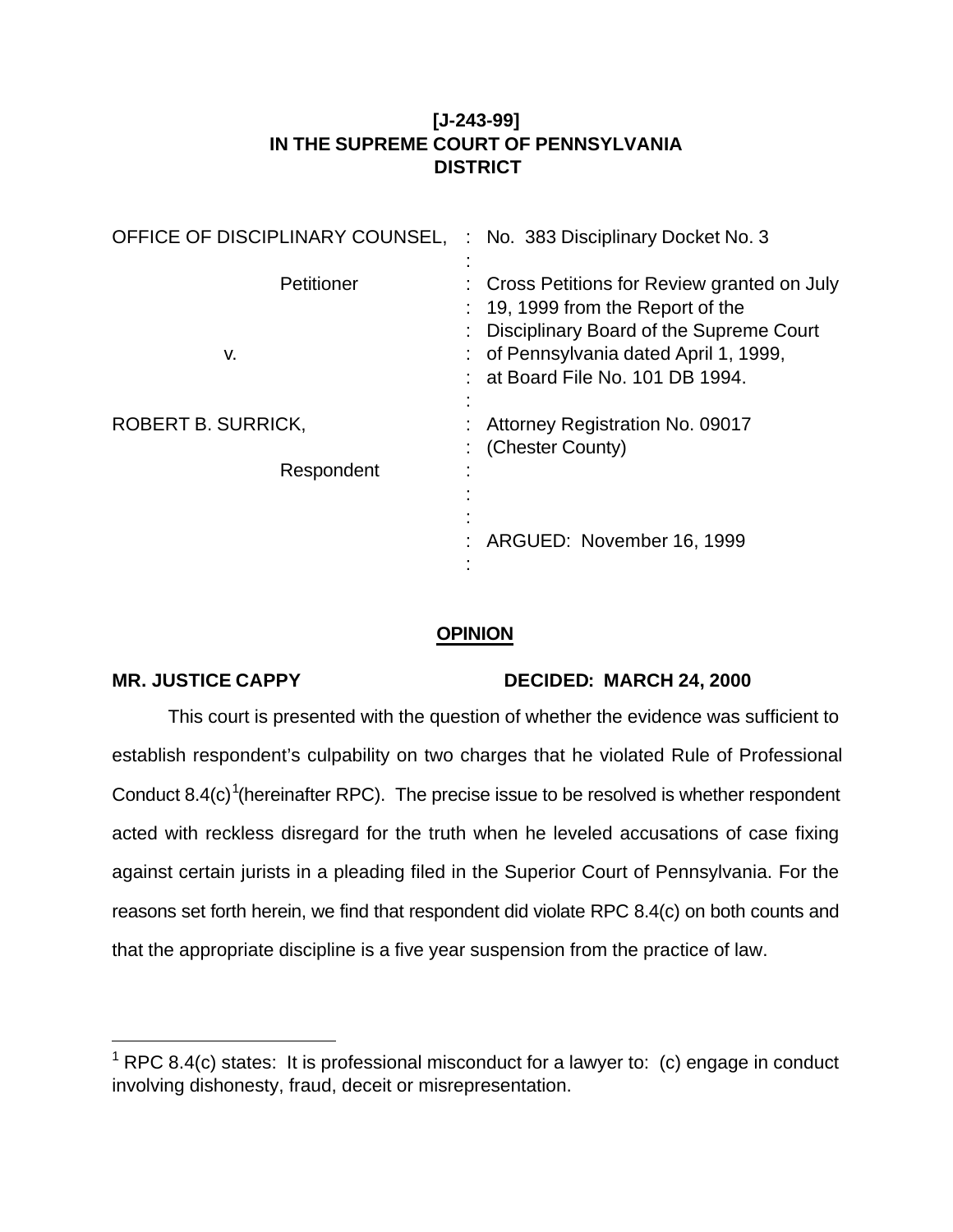## **[J-243-99] IN THE SUPREME COURT OF PENNSYLVANIA DISTRICT**

| OFFICE OF DISCIPLINARY COUNSEL, | : No. 383 Disciplinary Docket No. 3                                                                                                                                                                          |
|---------------------------------|--------------------------------------------------------------------------------------------------------------------------------------------------------------------------------------------------------------|
| Petitioner<br>v.                | : Cross Petitions for Review granted on July<br>$: 19, 1999$ from the Report of the<br>: Disciplinary Board of the Supreme Court<br>: of Pennsylvania dated April 1, 1999,<br>at Board File No. 101 DB 1994. |
| ROBERT B. SURRICK,              | Attorney Registration No. 09017                                                                                                                                                                              |
| Respondent                      | (Chester County)                                                                                                                                                                                             |
|                                 | ARGUED: November 16, 1999                                                                                                                                                                                    |

## **OPINION**

l

## **MR. JUSTICE CAPPY DECIDED: MARCH 24, 2000**

This court is presented with the question of whether the evidence was sufficient to establish respondent's culpability on two charges that he violated Rule of Professional Conduct 8.4(c)<sup>1</sup>(hereinafter RPC). The precise issue to be resolved is whether respondent acted with reckless disregard for the truth when he leveled accusations of case fixing against certain jurists in a pleading filed in the Superior Court of Pennsylvania. For the reasons set forth herein, we find that respondent did violate RPC 8.4(c) on both counts and that the appropriate discipline is a five year suspension from the practice of law.

 $1$  RPC 8.4(c) states: It is professional misconduct for a lawyer to: (c) engage in conduct involving dishonesty, fraud, deceit or misrepresentation.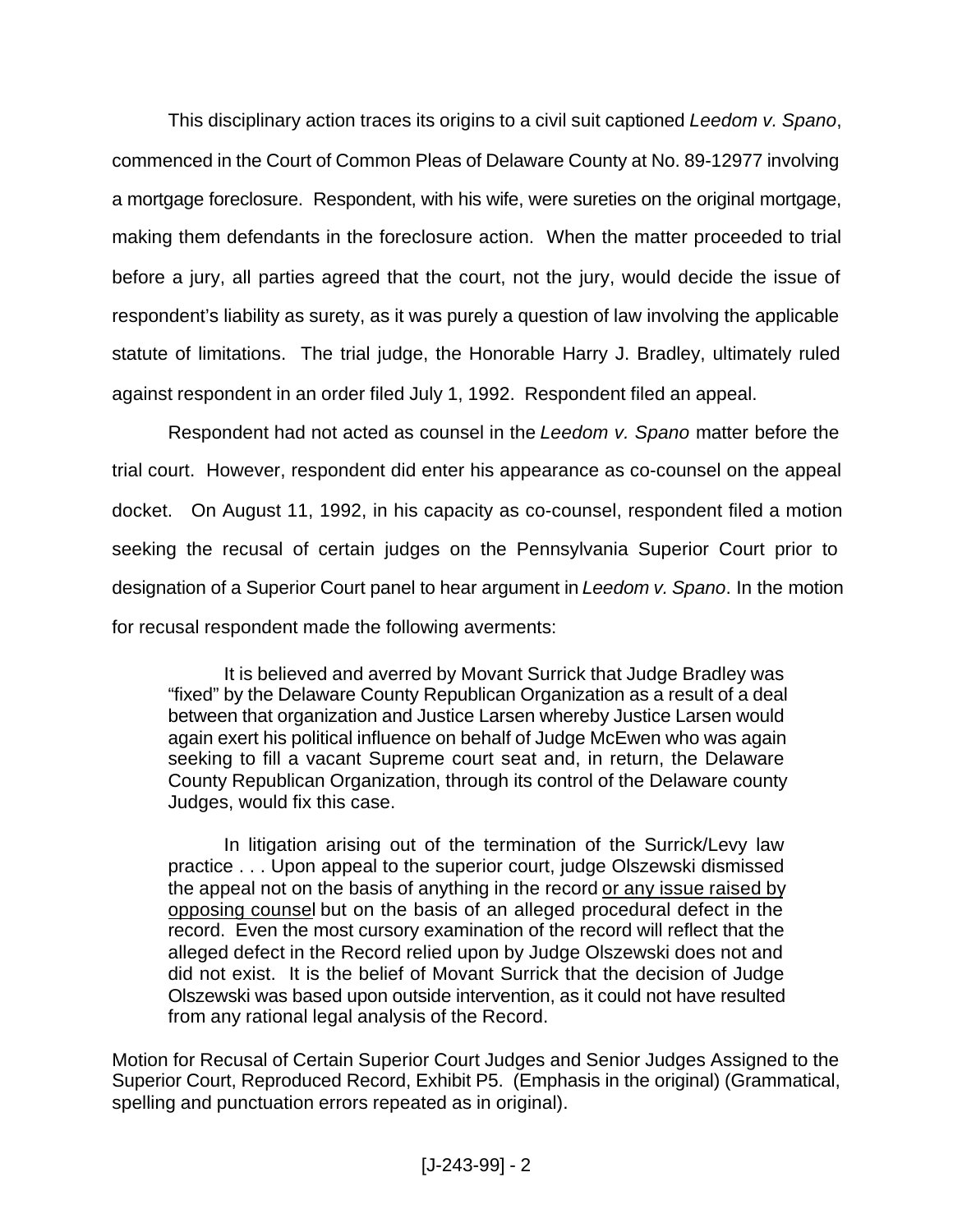This disciplinary action traces its origins to a civil suit captioned *Leedom v. Spano*, commenced in the Court of Common Pleas of Delaware County at No. 89-12977 involving a mortgage foreclosure. Respondent, with his wife, were sureties on the original mortgage, making them defendants in the foreclosure action. When the matter proceeded to trial before a jury, all parties agreed that the court, not the jury, would decide the issue of respondent's liability as surety, as it was purely a question of law involving the applicable statute of limitations. The trial judge, the Honorable Harry J. Bradley, ultimately ruled against respondent in an order filed July 1, 1992. Respondent filed an appeal.

Respondent had not acted as counsel in the *Leedom v. Spano* matter before the trial court. However, respondent did enter his appearance as co-counsel on the appeal docket. On August 11, 1992, in his capacity as co-counsel, respondent filed a motion seeking the recusal of certain judges on the Pennsylvania Superior Court prior to designation of a Superior Court panel to hear argument in *Leedom v. Spano*. In the motion for recusal respondent made the following averments:

It is believed and averred by Movant Surrick that Judge Bradley was "fixed" by the Delaware County Republican Organization as a result of a deal between that organization and Justice Larsen whereby Justice Larsen would again exert his political influence on behalf of Judge McEwen who was again seeking to fill a vacant Supreme court seat and, in return, the Delaware County Republican Organization, through its control of the Delaware county Judges, would fix this case.

In litigation arising out of the termination of the Surrick/Levy law practice . . . Upon appeal to the superior court, judge Olszewski dismissed the appeal not on the basis of anything in the record or any issue raised by opposing counsel but on the basis of an alleged procedural defect in the record. Even the most cursory examination of the record will reflect that the alleged defect in the Record relied upon by Judge Olszewski does not and did not exist. It is the belief of Movant Surrick that the decision of Judge Olszewski was based upon outside intervention, as it could not have resulted from any rational legal analysis of the Record.

Motion for Recusal of Certain Superior Court Judges and Senior Judges Assigned to the Superior Court, Reproduced Record, Exhibit P5. (Emphasis in the original) (Grammatical, spelling and punctuation errors repeated as in original).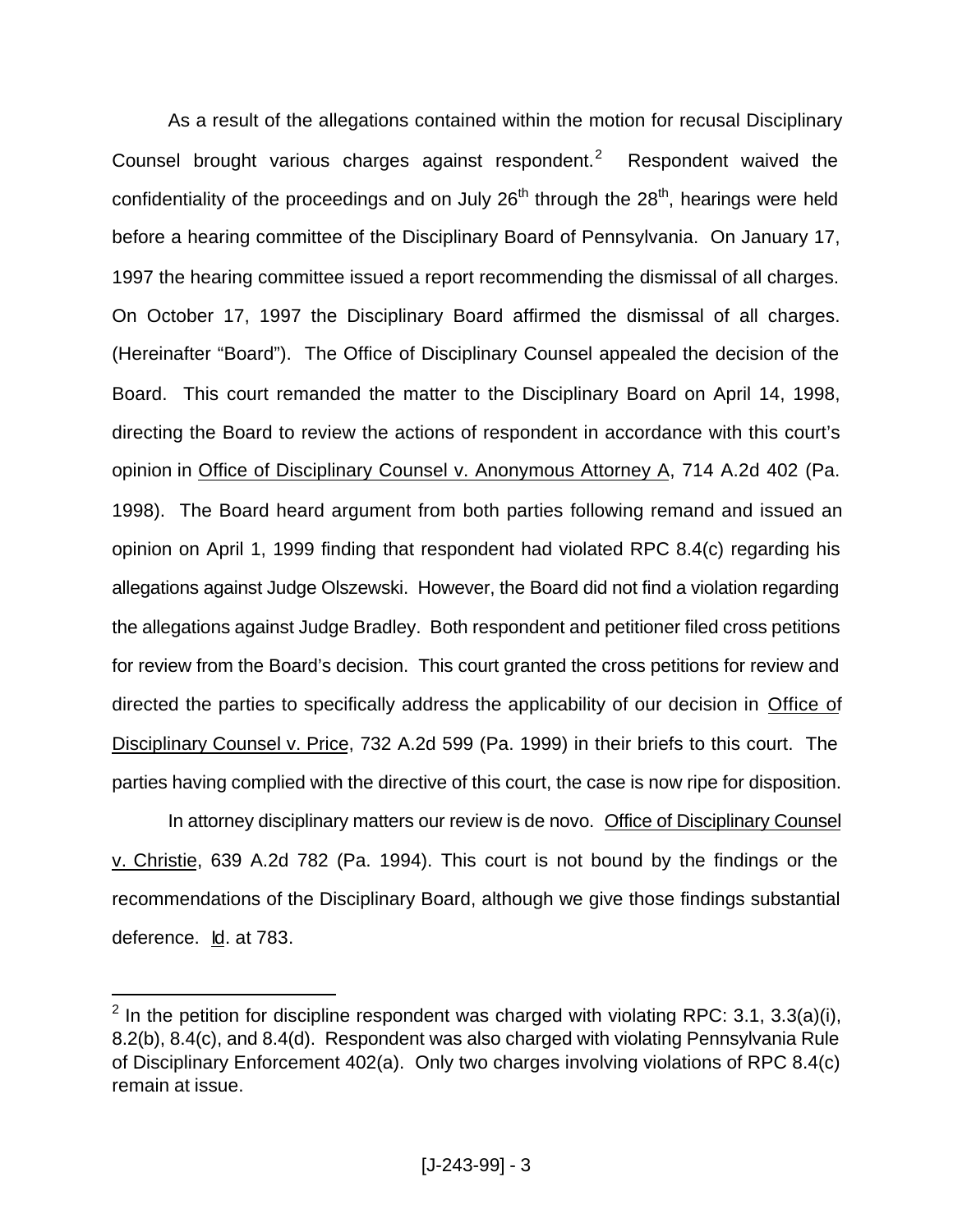As a result of the allegations contained within the motion for recusal Disciplinary Counsel brought various charges against respondent.<sup>2</sup> Respondent waived the confidentiality of the proceedings and on July  $26<sup>th</sup>$  through the  $28<sup>th</sup>$ , hearings were held before a hearing committee of the Disciplinary Board of Pennsylvania. On January 17, 1997 the hearing committee issued a report recommending the dismissal of all charges. On October 17, 1997 the Disciplinary Board affirmed the dismissal of all charges. (Hereinafter "Board"). The Office of Disciplinary Counsel appealed the decision of the Board. This court remanded the matter to the Disciplinary Board on April 14, 1998, directing the Board to review the actions of respondent in accordance with this court's opinion in Office of Disciplinary Counsel v. Anonymous Attorney A, 714 A.2d 402 (Pa. 1998). The Board heard argument from both parties following remand and issued an opinion on April 1, 1999 finding that respondent had violated RPC 8.4(c) regarding his allegations against Judge Olszewski. However, the Board did not find a violation regarding the allegations against Judge Bradley. Both respondent and petitioner filed cross petitions for review from the Board's decision. This court granted the cross petitions for review and directed the parties to specifically address the applicability of our decision in Office of Disciplinary Counsel v. Price, 732 A.2d 599 (Pa. 1999) in their briefs to this court. The parties having complied with the directive of this court, the case is now ripe for disposition.

In attorney disciplinary matters our review is de novo. Office of Disciplinary Counsel v. Christie, 639 A.2d 782 (Pa. 1994). This court is not bound by the findings or the recommendations of the Disciplinary Board, although we give those findings substantial deference. Id. at 783.

<sup>&</sup>lt;sup>2</sup> In the petition for discipline respondent was charged with violating RPC: 3.1, 3.3(a)(i), 8.2(b), 8.4(c), and 8.4(d). Respondent was also charged with violating Pennsylvania Rule of Disciplinary Enforcement 402(a). Only two charges involving violations of RPC 8.4(c) remain at issue.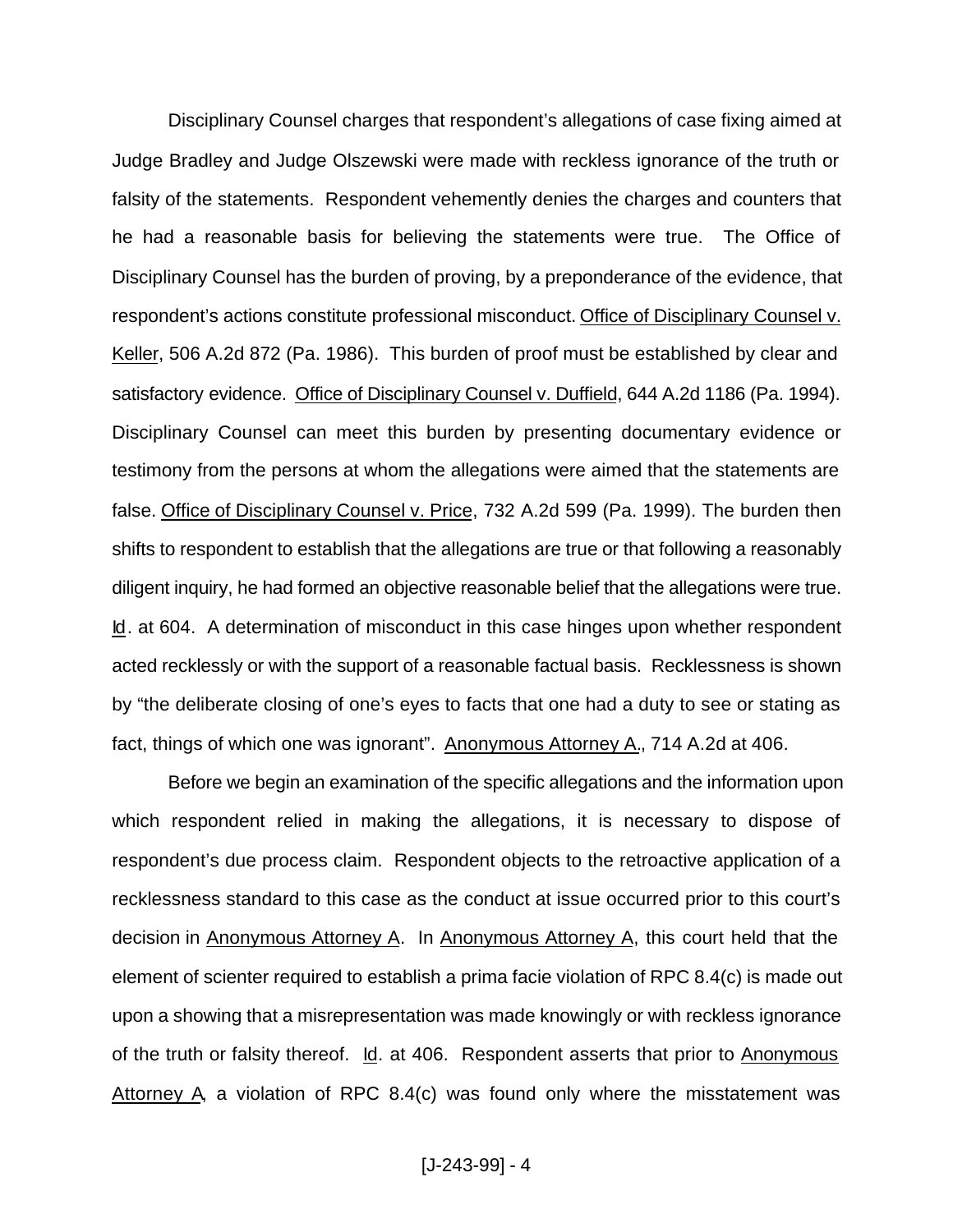Disciplinary Counsel charges that respondent's allegations of case fixing aimed at Judge Bradley and Judge Olszewski were made with reckless ignorance of the truth or falsity of the statements. Respondent vehemently denies the charges and counters that he had a reasonable basis for believing the statements were true. The Office of Disciplinary Counsel has the burden of proving, by a preponderance of the evidence, that respondent's actions constitute professional misconduct. Office of Disciplinary Counsel v. Keller, 506 A.2d 872 (Pa. 1986). This burden of proof must be established by clear and satisfactory evidence. Office of Disciplinary Counsel v. Duffield, 644 A.2d 1186 (Pa. 1994). Disciplinary Counsel can meet this burden by presenting documentary evidence or testimony from the persons at whom the allegations were aimed that the statements are false. Office of Disciplinary Counsel v. Price, 732 A.2d 599 (Pa. 1999). The burden then shifts to respondent to establish that the allegations are true or that following a reasonably diligent inquiry, he had formed an objective reasonable belief that the allegations were true. Id. at 604. A determination of misconduct in this case hinges upon whether respondent acted recklessly or with the support of a reasonable factual basis. Recklessness is shown by "the deliberate closing of one's eyes to facts that one had a duty to see or stating as fact, things of which one was ignorant". Anonymous Attorney A., 714 A.2d at 406.

Before we begin an examination of the specific allegations and the information upon which respondent relied in making the allegations, it is necessary to dispose of respondent's due process claim. Respondent objects to the retroactive application of a recklessness standard to this case as the conduct at issue occurred prior to this court's decision in Anonymous Attorney A. In Anonymous Attorney A, this court held that the element of scienter required to establish a prima facie violation of RPC 8.4(c) is made out upon a showing that a misrepresentation was made knowingly or with reckless ignorance of the truth or falsity thereof. Id. at 406. Respondent asserts that prior to Anonymous Attorney A, a violation of RPC 8.4(c) was found only where the misstatement was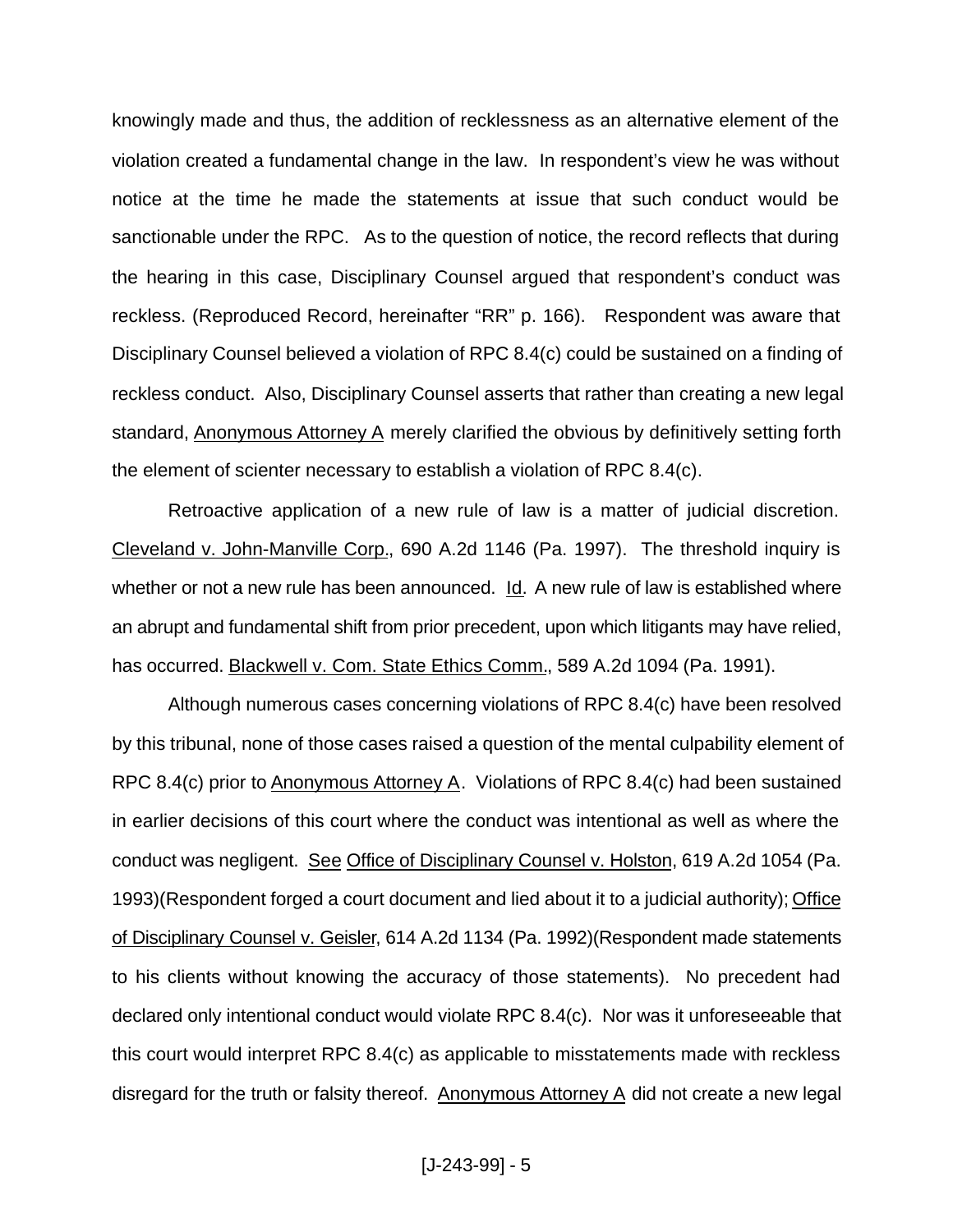knowingly made and thus, the addition of recklessness as an alternative element of the violation created a fundamental change in the law. In respondent's view he was without notice at the time he made the statements at issue that such conduct would be sanctionable under the RPC. As to the question of notice, the record reflects that during the hearing in this case, Disciplinary Counsel argued that respondent's conduct was reckless. (Reproduced Record, hereinafter "RR" p. 166). Respondent was aware that Disciplinary Counsel believed a violation of RPC 8.4(c) could be sustained on a finding of reckless conduct. Also, Disciplinary Counsel asserts that rather than creating a new legal standard, Anonymous Attorney A merely clarified the obvious by definitively setting forth the element of scienter necessary to establish a violation of RPC 8.4(c).

Retroactive application of a new rule of law is a matter of judicial discretion. Cleveland v. John-Manville Corp., 690 A.2d 1146 (Pa. 1997). The threshold inquiry is whether or not a new rule has been announced. Id. A new rule of law is established where an abrupt and fundamental shift from prior precedent, upon which litigants may have relied, has occurred. Blackwell v. Com. State Ethics Comm., 589 A.2d 1094 (Pa. 1991).

Although numerous cases concerning violations of RPC 8.4(c) have been resolved by this tribunal, none of those cases raised a question of the mental culpability element of RPC 8.4(c) prior to Anonymous Attorney A. Violations of RPC 8.4(c) had been sustained in earlier decisions of this court where the conduct was intentional as well as where the conduct was negligent. See Office of Disciplinary Counsel v. Holston, 619 A.2d 1054 (Pa. 1993)(Respondent forged a court document and lied about it to a judicial authority); Office of Disciplinary Counsel v. Geisler, 614 A.2d 1134 (Pa. 1992)(Respondent made statements to his clients without knowing the accuracy of those statements). No precedent had declared only intentional conduct would violate RPC 8.4(c). Nor was it unforeseeable that this court would interpret RPC 8.4(c) as applicable to misstatements made with reckless disregard for the truth or falsity thereof. Anonymous Attorney A did not create a new legal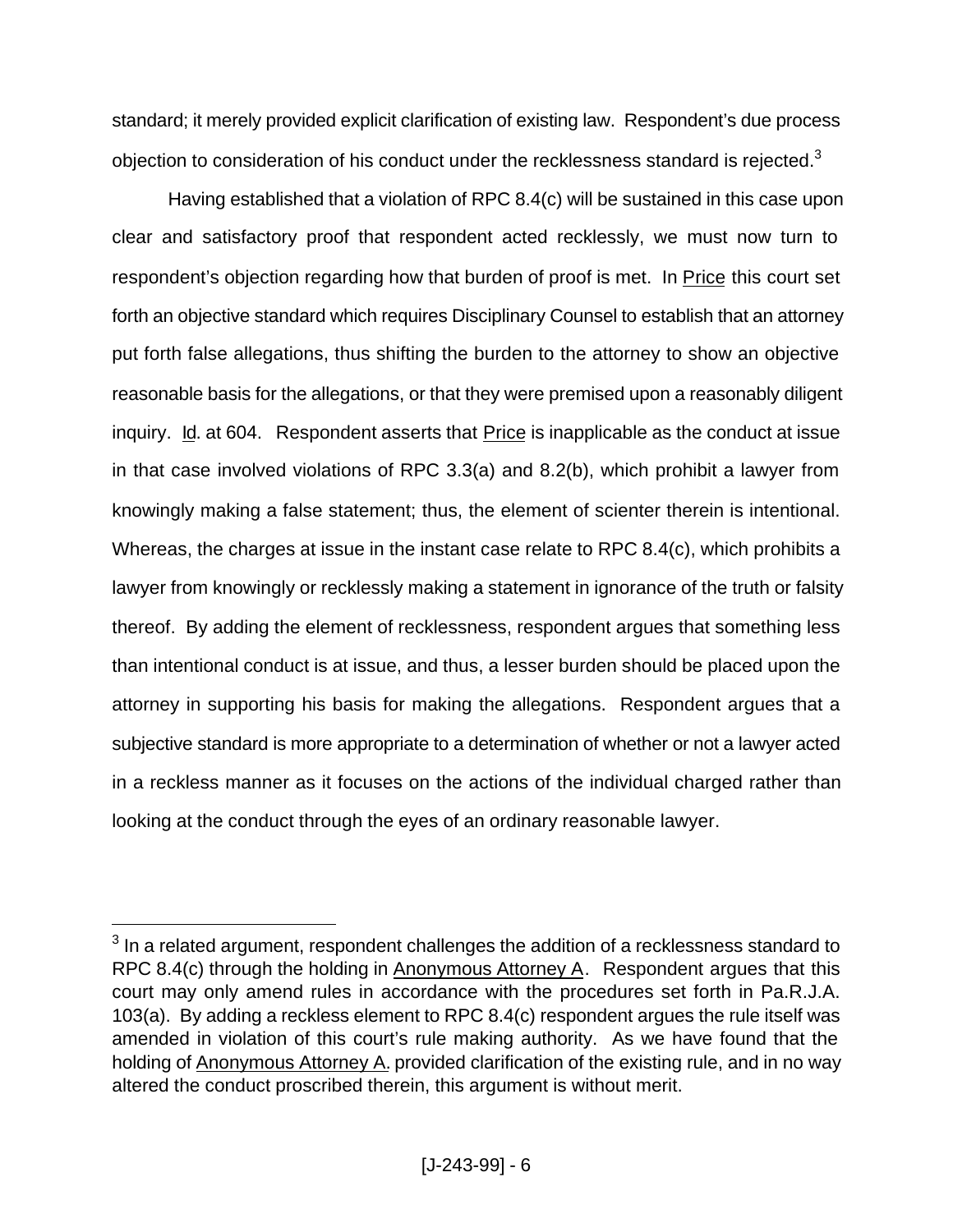standard; it merely provided explicit clarification of existing law. Respondent's due process objection to consideration of his conduct under the recklessness standard is rejected. $3$ 

Having established that a violation of RPC 8.4(c) will be sustained in this case upon clear and satisfactory proof that respondent acted recklessly, we must now turn to respondent's objection regarding how that burden of proof is met. In Price this court set forth an objective standard which requires Disciplinary Counsel to establish that an attorney put forth false allegations, thus shifting the burden to the attorney to show an objective reasonable basis for the allegations, or that they were premised upon a reasonably diligent inquiry. Id. at 604. Respondent asserts that Price is inapplicable as the conduct at issue in that case involved violations of RPC 3.3(a) and 8.2(b), which prohibit a lawyer from knowingly making a false statement; thus, the element of scienter therein is intentional. Whereas, the charges at issue in the instant case relate to RPC 8.4(c), which prohibits a lawyer from knowingly or recklessly making a statement in ignorance of the truth or falsity thereof. By adding the element of recklessness, respondent argues that something less than intentional conduct is at issue, and thus, a lesser burden should be placed upon the attorney in supporting his basis for making the allegations. Respondent argues that a subjective standard is more appropriate to a determination of whether or not a lawyer acted in a reckless manner as it focuses on the actions of the individual charged rather than looking at the conduct through the eyes of an ordinary reasonable lawyer.

 $3$  In a related argument, respondent challenges the addition of a recklessness standard to RPC 8.4(c) through the holding in Anonymous Attorney A. Respondent argues that this court may only amend rules in accordance with the procedures set forth in Pa.R.J.A. 103(a). By adding a reckless element to RPC 8.4(c) respondent argues the rule itself was amended in violation of this court's rule making authority. As we have found that the holding of Anonymous Attorney A. provided clarification of the existing rule, and in no way altered the conduct proscribed therein, this argument is without merit.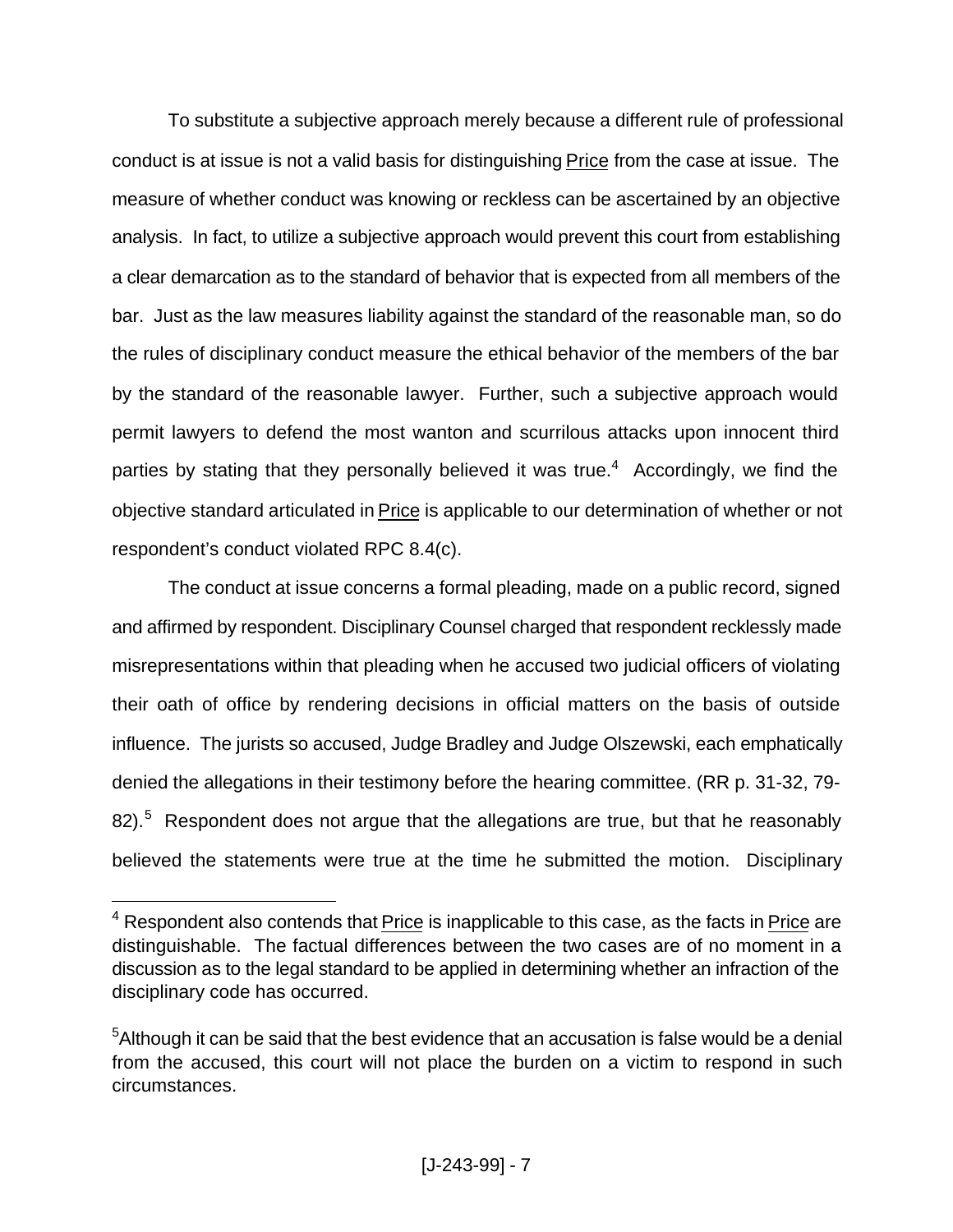To substitute a subjective approach merely because a different rule of professional conduct is at issue is not a valid basis for distinguishing Price from the case at issue. The measure of whether conduct was knowing or reckless can be ascertained by an objective analysis. In fact, to utilize a subjective approach would prevent this court from establishing a clear demarcation as to the standard of behavior that is expected from all members of the bar. Just as the law measures liability against the standard of the reasonable man, so do the rules of disciplinary conduct measure the ethical behavior of the members of the bar by the standard of the reasonable lawyer. Further, such a subjective approach would permit lawyers to defend the most wanton and scurrilous attacks upon innocent third parties by stating that they personally believed it was true.<sup>4</sup> Accordingly, we find the objective standard articulated in Price is applicable to our determination of whether or not respondent's conduct violated RPC 8.4(c).

The conduct at issue concerns a formal pleading, made on a public record, signed and affirmed by respondent. Disciplinary Counsel charged that respondent recklessly made misrepresentations within that pleading when he accused two judicial officers of violating their oath of office by rendering decisions in official matters on the basis of outside influence. The jurists so accused, Judge Bradley and Judge Olszewski, each emphatically denied the allegations in their testimony before the hearing committee. (RR p. 31-32, 79- 82).<sup>5</sup> Respondent does not argue that the allegations are true, but that he reasonably believed the statements were true at the time he submitted the motion. Disciplinary

<sup>&</sup>lt;sup>4</sup> Respondent also contends that Price is inapplicable to this case, as the facts in Price are distinguishable. The factual differences between the two cases are of no moment in a discussion as to the legal standard to be applied in determining whether an infraction of the disciplinary code has occurred.

<sup>&</sup>lt;sup>5</sup> Although it can be said that the best evidence that an accusation is false would be a denial from the accused, this court will not place the burden on a victim to respond in such circumstances.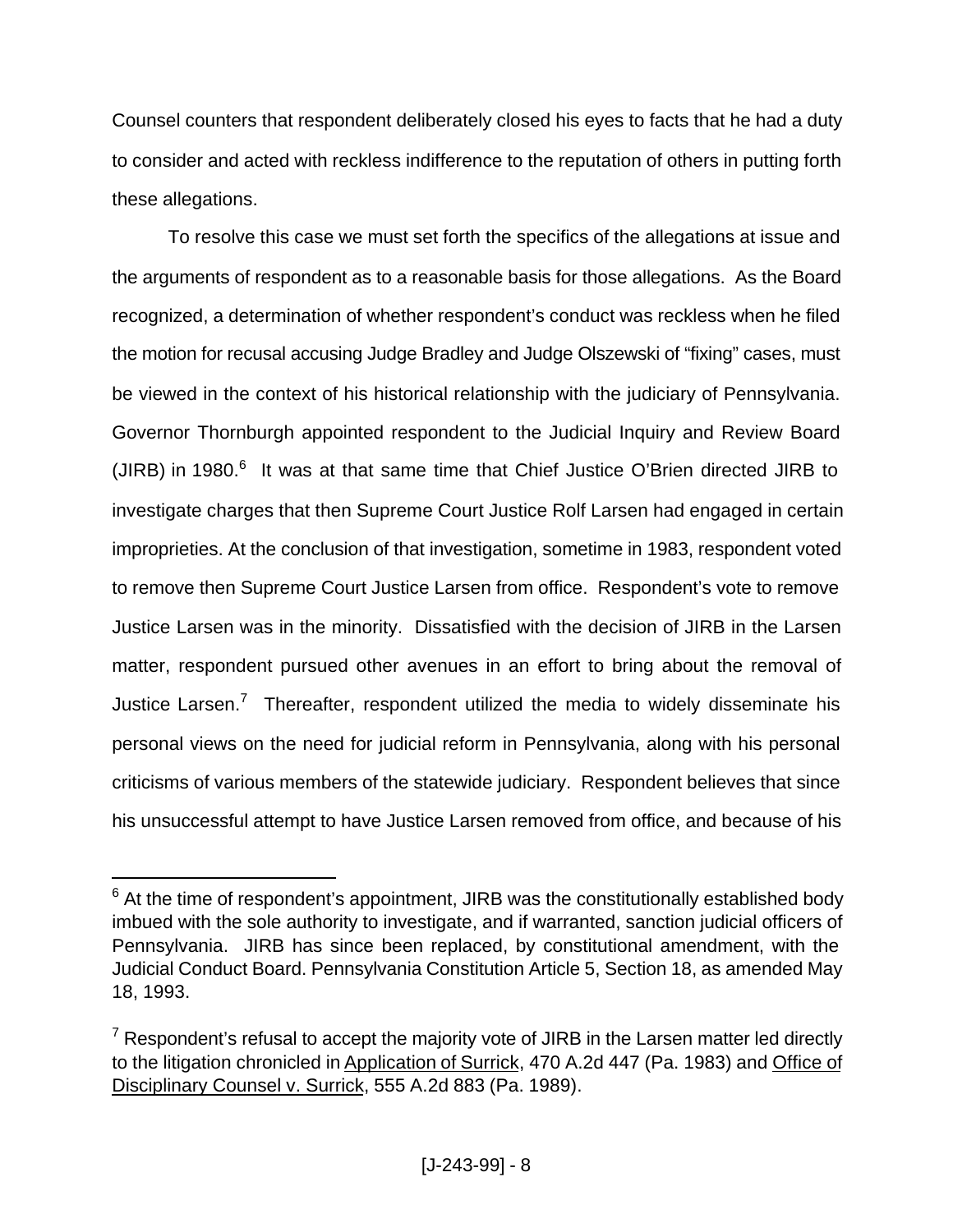Counsel counters that respondent deliberately closed his eyes to facts that he had a duty to consider and acted with reckless indifference to the reputation of others in putting forth these allegations.

To resolve this case we must set forth the specifics of the allegations at issue and the arguments of respondent as to a reasonable basis for those allegations. As the Board recognized, a determination of whether respondent's conduct was reckless when he filed the motion for recusal accusing Judge Bradley and Judge Olszewski of "fixing" cases, must be viewed in the context of his historical relationship with the judiciary of Pennsylvania. Governor Thornburgh appointed respondent to the Judicial Inquiry and Review Board (JIRB) in 1980. $6$  It was at that same time that Chief Justice O'Brien directed JIRB to investigate charges that then Supreme Court Justice Rolf Larsen had engaged in certain improprieties. At the conclusion of that investigation, sometime in 1983, respondent voted to remove then Supreme Court Justice Larsen from office. Respondent's vote to remove Justice Larsen was in the minority. Dissatisfied with the decision of JIRB in the Larsen matter, respondent pursued other avenues in an effort to bring about the removal of Justice Larsen.<sup>7</sup> Thereafter, respondent utilized the media to widely disseminate his personal views on the need for judicial reform in Pennsylvania, along with his personal criticisms of various members of the statewide judiciary. Respondent believes that since his unsuccessful attempt to have Justice Larsen removed from office, and because of his

 $^6$  At the time of respondent's appointment, JIRB was the constitutionally established body imbued with the sole authority to investigate, and if warranted, sanction judicial officers of Pennsylvania. JIRB has since been replaced, by constitutional amendment, with the Judicial Conduct Board. Pennsylvania Constitution Article 5, Section 18, as amended May 18, 1993.

 $7$  Respondent's refusal to accept the majority vote of JIRB in the Larsen matter led directly to the litigation chronicled in Application of Surrick, 470 A.2d 447 (Pa. 1983) and Office of Disciplinary Counsel v. Surrick, 555 A.2d 883 (Pa. 1989).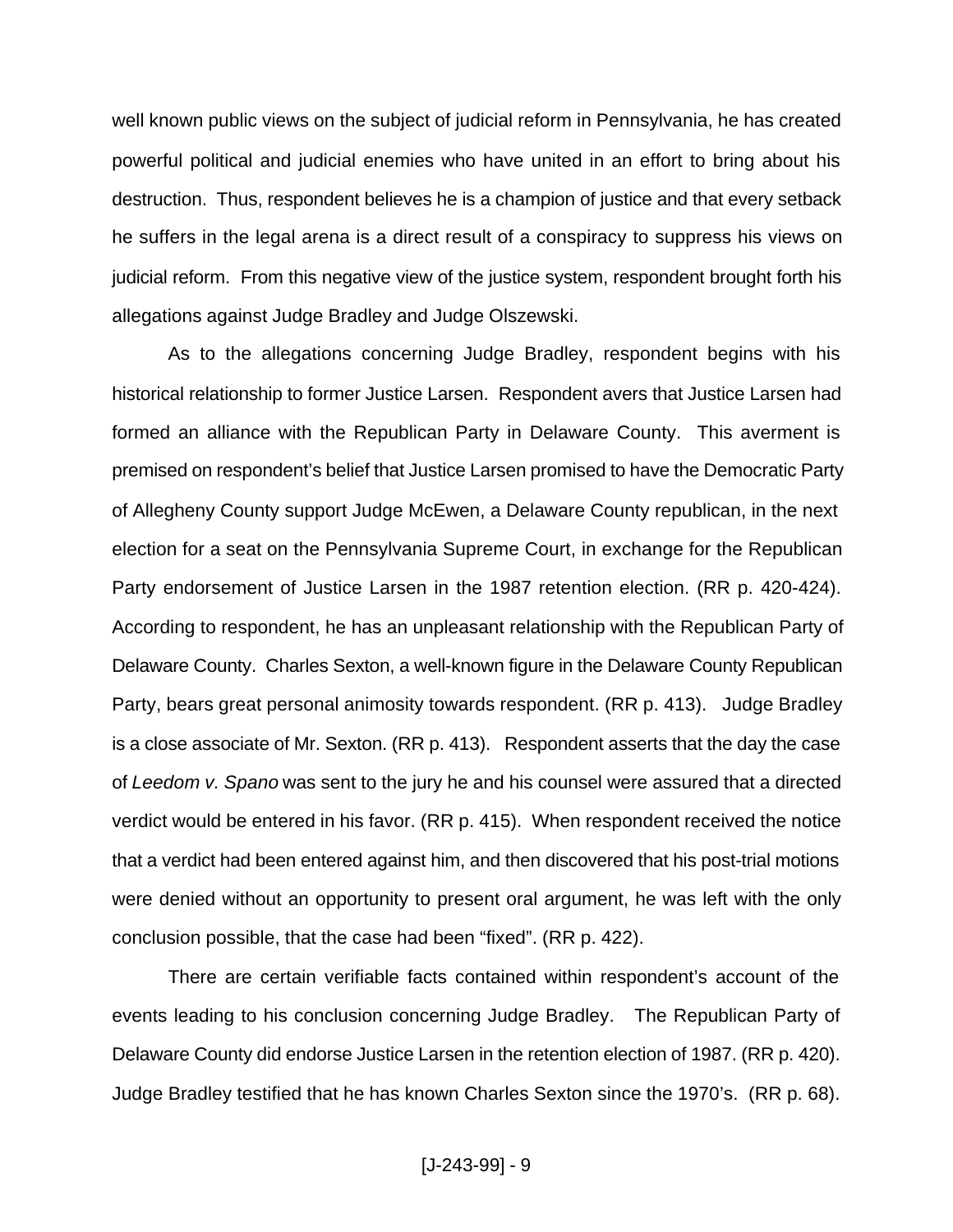well known public views on the subject of judicial reform in Pennsylvania, he has created powerful political and judicial enemies who have united in an effort to bring about his destruction. Thus, respondent believes he is a champion of justice and that every setback he suffers in the legal arena is a direct result of a conspiracy to suppress his views on judicial reform. From this negative view of the justice system, respondent brought forth his allegations against Judge Bradley and Judge Olszewski.

As to the allegations concerning Judge Bradley, respondent begins with his historical relationship to former Justice Larsen. Respondent avers that Justice Larsen had formed an alliance with the Republican Party in Delaware County. This averment is premised on respondent's belief that Justice Larsen promised to have the Democratic Party of Allegheny County support Judge McEwen, a Delaware County republican, in the next election for a seat on the Pennsylvania Supreme Court, in exchange for the Republican Party endorsement of Justice Larsen in the 1987 retention election. (RR p. 420-424). According to respondent, he has an unpleasant relationship with the Republican Party of Delaware County. Charles Sexton, a well-known figure in the Delaware County Republican Party, bears great personal animosity towards respondent. (RR p. 413). Judge Bradley is a close associate of Mr. Sexton. (RR p. 413). Respondent asserts that the day the case of *Leedom v. Spano* was sent to the jury he and his counsel were assured that a directed verdict would be entered in his favor. (RR p. 415). When respondent received the notice that a verdict had been entered against him, and then discovered that his post-trial motions were denied without an opportunity to present oral argument, he was left with the only conclusion possible, that the case had been "fixed". (RR p. 422).

There are certain verifiable facts contained within respondent's account of the events leading to his conclusion concerning Judge Bradley. The Republican Party of Delaware County did endorse Justice Larsen in the retention election of 1987. (RR p. 420). Judge Bradley testified that he has known Charles Sexton since the 1970's. (RR p. 68).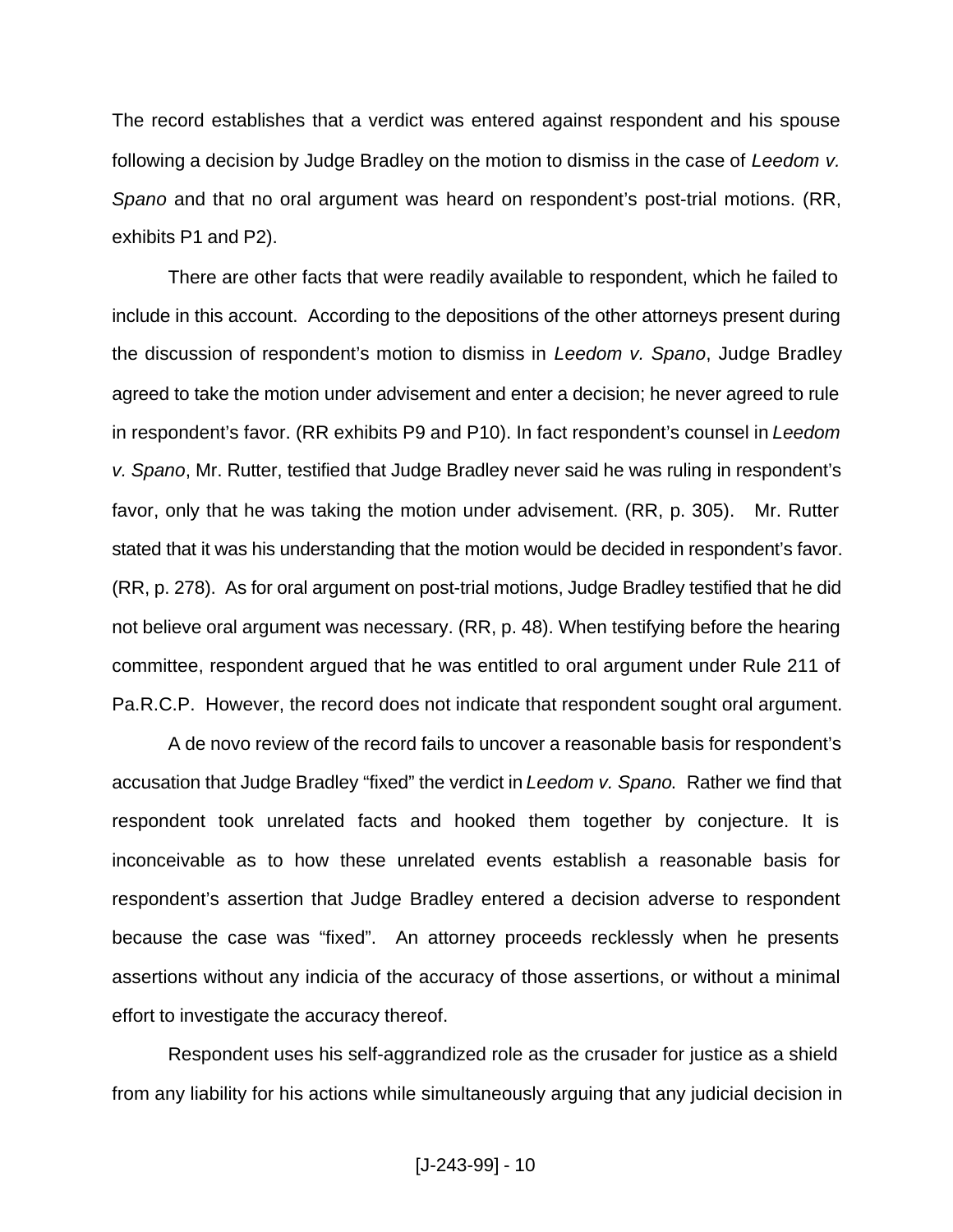The record establishes that a verdict was entered against respondent and his spouse following a decision by Judge Bradley on the motion to dismiss in the case of *Leedom v. Spano* and that no oral argument was heard on respondent's post-trial motions. (RR, exhibits P1 and P2).

There are other facts that were readily available to respondent, which he failed to include in this account. According to the depositions of the other attorneys present during the discussion of respondent's motion to dismiss in *Leedom v. Spano*, Judge Bradley agreed to take the motion under advisement and enter a decision; he never agreed to rule in respondent's favor. (RR exhibits P9 and P10). In fact respondent's counsel in *Leedom v. Spano*, Mr. Rutter, testified that Judge Bradley never said he was ruling in respondent's favor, only that he was taking the motion under advisement. (RR, p. 305). Mr. Rutter stated that it was his understanding that the motion would be decided in respondent's favor. (RR, p. 278). As for oral argument on post-trial motions, Judge Bradley testified that he did not believe oral argument was necessary. (RR, p. 48). When testifying before the hearing committee, respondent argued that he was entitled to oral argument under Rule 211 of Pa.R.C.P. However, the record does not indicate that respondent sought oral argument.

A de novo review of the record fails to uncover a reasonable basis for respondent's accusation that Judge Bradley "fixed" the verdict in *Leedom v. Spano*. Rather we find that respondent took unrelated facts and hooked them together by conjecture. It is inconceivable as to how these unrelated events establish a reasonable basis for respondent's assertion that Judge Bradley entered a decision adverse to respondent because the case was "fixed". An attorney proceeds recklessly when he presents assertions without any indicia of the accuracy of those assertions, or without a minimal effort to investigate the accuracy thereof.

Respondent uses his self-aggrandized role as the crusader for justice as a shield from any liability for his actions while simultaneously arguing that any judicial decision in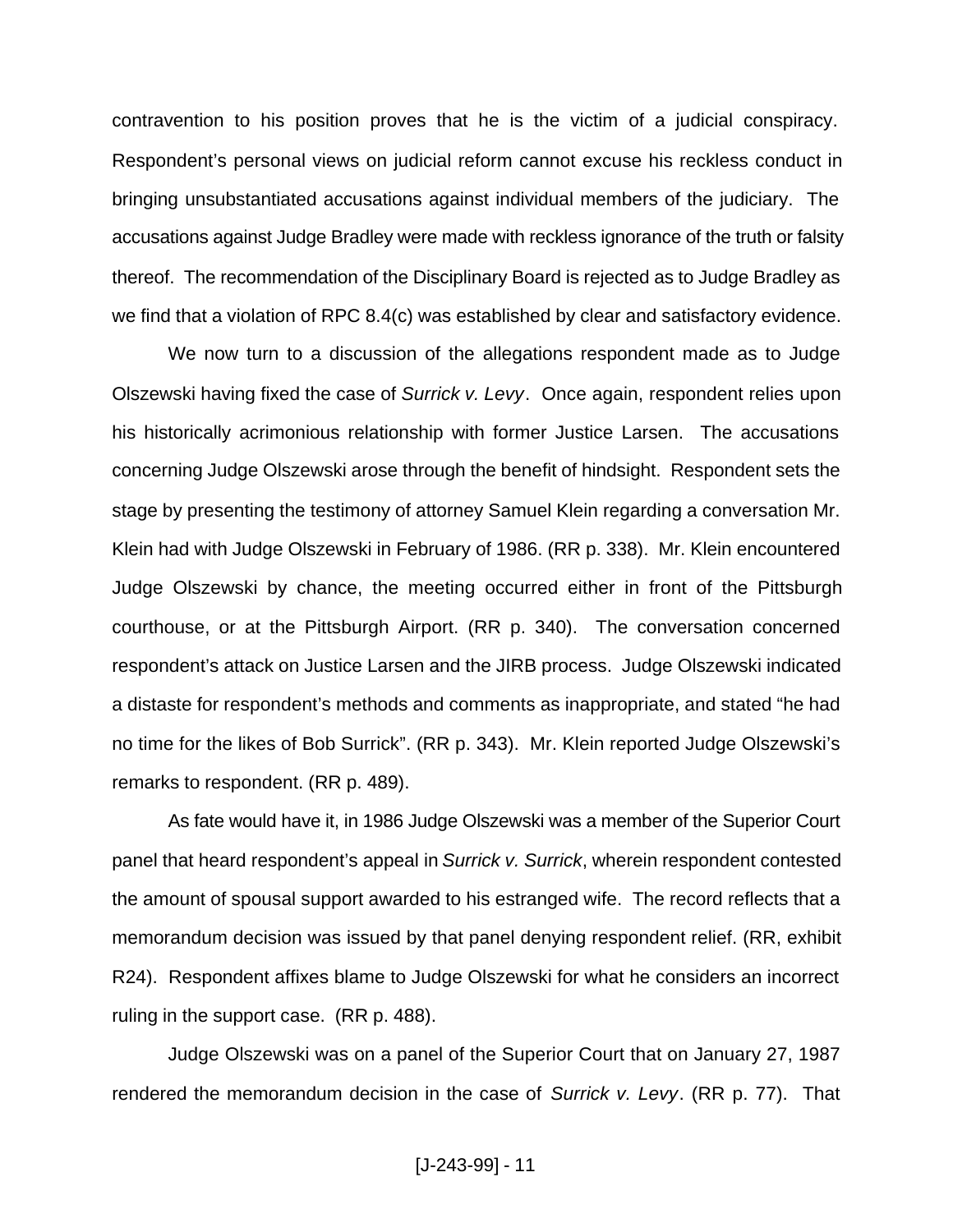contravention to his position proves that he is the victim of a judicial conspiracy. Respondent's personal views on judicial reform cannot excuse his reckless conduct in bringing unsubstantiated accusations against individual members of the judiciary. The accusations against Judge Bradley were made with reckless ignorance of the truth or falsity thereof. The recommendation of the Disciplinary Board is rejected as to Judge Bradley as we find that a violation of RPC 8.4(c) was established by clear and satisfactory evidence.

We now turn to a discussion of the allegations respondent made as to Judge Olszewski having fixed the case of *Surrick v. Levy*. Once again, respondent relies upon his historically acrimonious relationship with former Justice Larsen. The accusations concerning Judge Olszewski arose through the benefit of hindsight. Respondent sets the stage by presenting the testimony of attorney Samuel Klein regarding a conversation Mr. Klein had with Judge Olszewski in February of 1986. (RR p. 338). Mr. Klein encountered Judge Olszewski by chance, the meeting occurred either in front of the Pittsburgh courthouse, or at the Pittsburgh Airport. (RR p. 340). The conversation concerned respondent's attack on Justice Larsen and the JIRB process. Judge Olszewski indicated a distaste for respondent's methods and comments as inappropriate, and stated "he had no time for the likes of Bob Surrick". (RR p. 343). Mr. Klein reported Judge Olszewski's remarks to respondent. (RR p. 489).

As fate would have it, in 1986 Judge Olszewski was a member of the Superior Court panel that heard respondent's appeal in *Surrick v. Surrick*, wherein respondent contested the amount of spousal support awarded to his estranged wife. The record reflects that a memorandum decision was issued by that panel denying respondent relief. (RR, exhibit R24). Respondent affixes blame to Judge Olszewski for what he considers an incorrect ruling in the support case. (RR p. 488).

Judge Olszewski was on a panel of the Superior Court that on January 27, 1987 rendered the memorandum decision in the case of *Surrick v. Levy*. (RR p. 77). That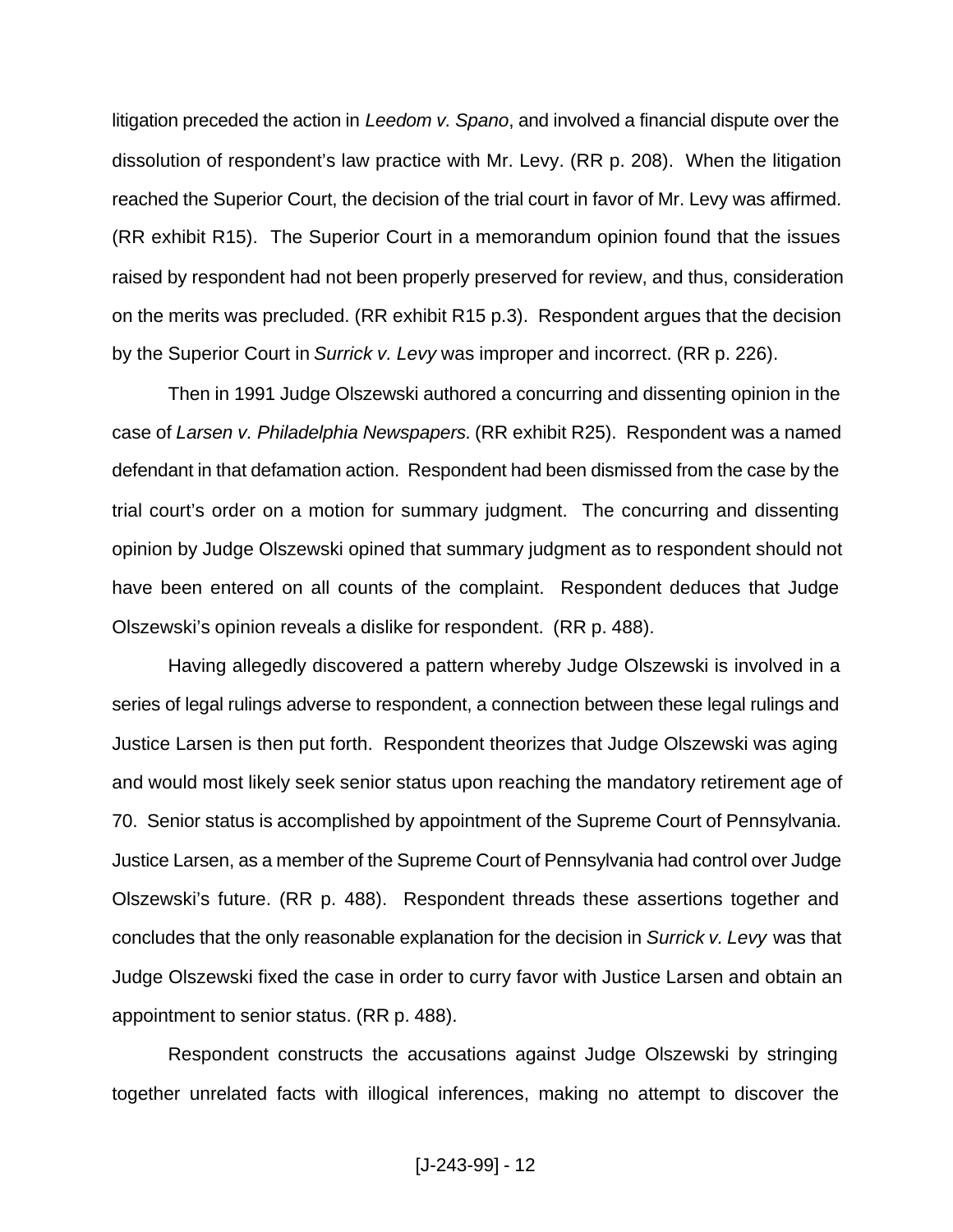litigation preceded the action in *Leedom v. Spano*, and involved a financial dispute over the dissolution of respondent's law practice with Mr. Levy. (RR p. 208). When the litigation reached the Superior Court, the decision of the trial court in favor of Mr. Levy was affirmed. (RR exhibit R15). The Superior Court in a memorandum opinion found that the issues raised by respondent had not been properly preserved for review, and thus, consideration on the merits was precluded. (RR exhibit R15 p.3). Respondent argues that the decision by the Superior Court in *Surrick v. Levy* was improper and incorrect. (RR p. 226).

Then in 1991 Judge Olszewski authored a concurring and dissenting opinion in the case of *Larsen v. Philadelphia Newspapers.* (RR exhibit R25). Respondent was a named defendant in that defamation action. Respondent had been dismissed from the case by the trial court's order on a motion for summary judgment. The concurring and dissenting opinion by Judge Olszewski opined that summary judgment as to respondent should not have been entered on all counts of the complaint. Respondent deduces that Judge Olszewski's opinion reveals a dislike for respondent. (RR p. 488).

Having allegedly discovered a pattern whereby Judge Olszewski is involved in a series of legal rulings adverse to respondent, a connection between these legal rulings and Justice Larsen is then put forth. Respondent theorizes that Judge Olszewski was aging and would most likely seek senior status upon reaching the mandatory retirement age of 70. Senior status is accomplished by appointment of the Supreme Court of Pennsylvania. Justice Larsen, as a member of the Supreme Court of Pennsylvania had control over Judge Olszewski's future. (RR p. 488). Respondent threads these assertions together and concludes that the only reasonable explanation for the decision in *Surrick v. Levy* was that Judge Olszewski fixed the case in order to curry favor with Justice Larsen and obtain an appointment to senior status. (RR p. 488).

Respondent constructs the accusations against Judge Olszewski by stringing together unrelated facts with illogical inferences, making no attempt to discover the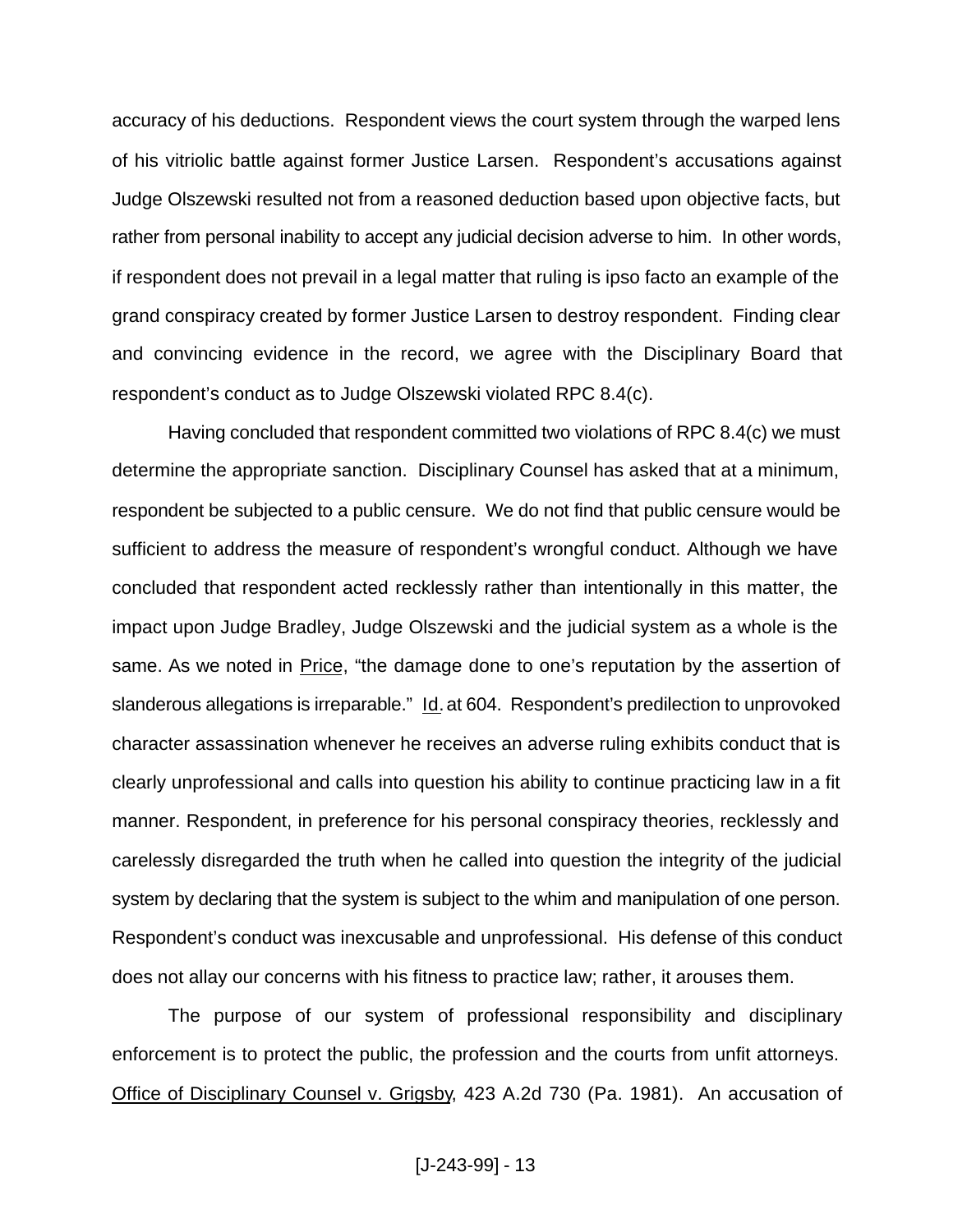accuracy of his deductions. Respondent views the court system through the warped lens of his vitriolic battle against former Justice Larsen. Respondent's accusations against Judge Olszewski resulted not from a reasoned deduction based upon objective facts, but rather from personal inability to accept any judicial decision adverse to him. In other words, if respondent does not prevail in a legal matter that ruling is ipso facto an example of the grand conspiracy created by former Justice Larsen to destroy respondent. Finding clear and convincing evidence in the record, we agree with the Disciplinary Board that respondent's conduct as to Judge Olszewski violated RPC 8.4(c).

Having concluded that respondent committed two violations of RPC 8.4(c) we must determine the appropriate sanction. Disciplinary Counsel has asked that at a minimum, respondent be subjected to a public censure. We do not find that public censure would be sufficient to address the measure of respondent's wrongful conduct. Although we have concluded that respondent acted recklessly rather than intentionally in this matter, the impact upon Judge Bradley, Judge Olszewski and the judicial system as a whole is the same. As we noted in Price, "the damage done to one's reputation by the assertion of slanderous allegations is irreparable." Id. at 604. Respondent's predilection to unprovoked character assassination whenever he receives an adverse ruling exhibits conduct that is clearly unprofessional and calls into question his ability to continue practicing law in a fit manner. Respondent, in preference for his personal conspiracy theories, recklessly and carelessly disregarded the truth when he called into question the integrity of the judicial system by declaring that the system is subject to the whim and manipulation of one person. Respondent's conduct was inexcusable and unprofessional. His defense of this conduct does not allay our concerns with his fitness to practice law; rather, it arouses them.

The purpose of our system of professional responsibility and disciplinary enforcement is to protect the public, the profession and the courts from unfit attorneys. Office of Disciplinary Counsel v. Grigsby, 423 A.2d 730 (Pa. 1981). An accusation of